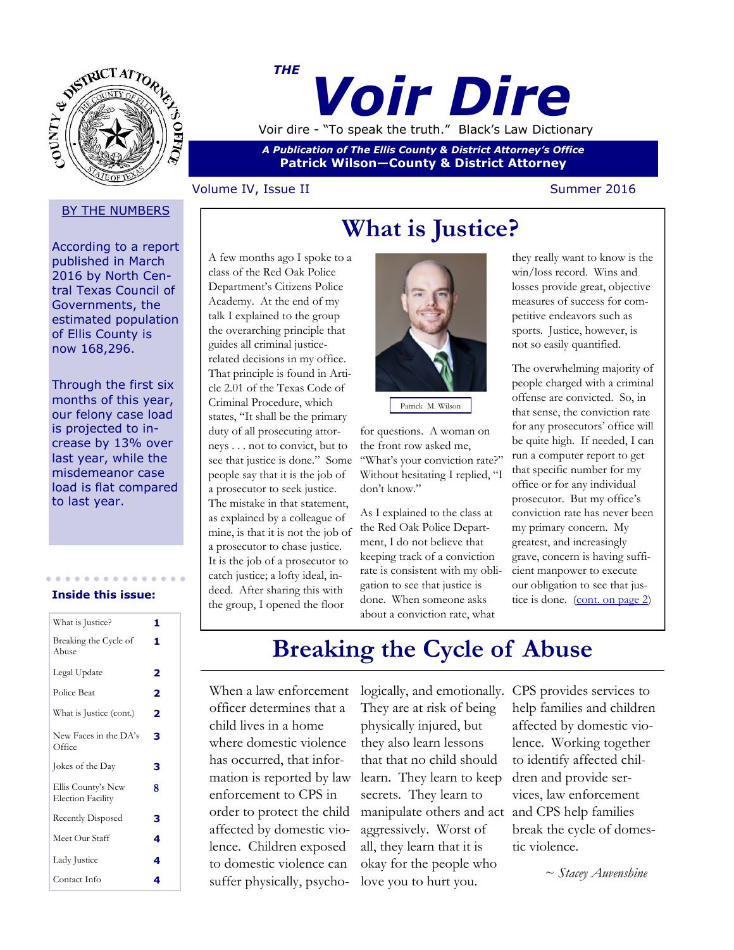

## *Voir Dire THE* Voir dire - "To speak the truth." Black's Law Dictionary

*A Publication of The Ellis County & District Attorney's Office* **Patrick Wilson—County & District Attorney**

### Volume IV, Issue II Summer 2016

### **BY THE NUMBERS**

According to a report published in March 2016 by North Central Texas Council of Governments, the estimated population of Ellis County is now 168,296.

Through the first six months of this year, our felony case load is projected to increase by 13% over last year, while the misdemeanor case load is flat compared to last year.

#### **Inside this issue:**

| What is Justice?                               | 1 |
|------------------------------------------------|---|
| Breaking the Cycle of<br>Abuse                 | 1 |
| Legal Update                                   | 2 |
| Police Beat                                    | 2 |
| What is Justice (cont.)                        | 2 |
| New Faces in the DA's<br>Office                | з |
| Jokes of the Day                               | 3 |
| Ellis County's New<br><b>Election Facility</b> | 8 |
| Recently Disposed                              | з |
| Meet Our Staff                                 | 4 |
|                                                |   |
| Lady Justice                                   | 4 |

A few months ago I spoke to a class of the Red Oak Police Department's Citizens Police Academy. At the end of my talk I explained to the group the overarching principle that guides all criminal justicerelated decisions in my office. That principle is found in Article 2.01 of the Texas Code of Criminal Procedure, which states, "It shall be the primary duty of all prosecuting attorneys . . . not to convict, but to see that justice is done." Some people say that it is the job of a prosecutor to seek justice. The mistake in that statement, as explained by a colleague of mine, is that it is not the job of a prosecutor to chase justice. It is the job of a prosecutor to catch justice; a lofty ideal, indeed. After sharing this with the group, I opened the floor



Patrick M. Wilson

for questions. A woman on the front row asked me, "What's your conviction rate?" Without hesitating I replied, "I don't know."

As I explained to the class at the Red Oak Police Department, I do not believe that keeping track of a conviction rate is consistent with my obligation to see that justice is done. When someone asks about a conviction rate, what

they really want to know is the win/loss record. Wins and losses provide great, objective measures of success for competitive endeavors such as sports. Justice, however, is not so easily quantified.

The overwhelming majority of people charged with a criminal offense are convicted. So, in that sense, the conviction rate for any prosecutors' office will be quite high. If needed, I can run a computer report to get that specific number for my office or for any individual prosecutor. But my office's conviction rate has never been my primary concern. My greatest, and increasingly grave, concern is having sufficient manpower to execute our obligation to see that jus-tice is done. [\(cont. on page 2\)](#page-1-0)

# **Breaking the Cycle of Abuse**

When a law enforcement officer determines that a child lives in a home where domestic violence has occurred, that information is reported by law enforcement to CPS in order to protect the child affected by domestic violence. Children exposed to domestic violence can suffer physically, psycho-

logically, and emotionally. CPS provides services to They are at risk of being physically injured, but they also learn lessons that that no child should learn. They learn to keep secrets. They learn to manipulate others and act and CPS help families aggressively. Worst of all, they learn that it is okay for the people who love you to hurt you.

help families and children affected by domestic violence. Working together to identify affected children and provide services, law enforcement break the cycle of domestic violence.

 *~ Stacey Auvenshine*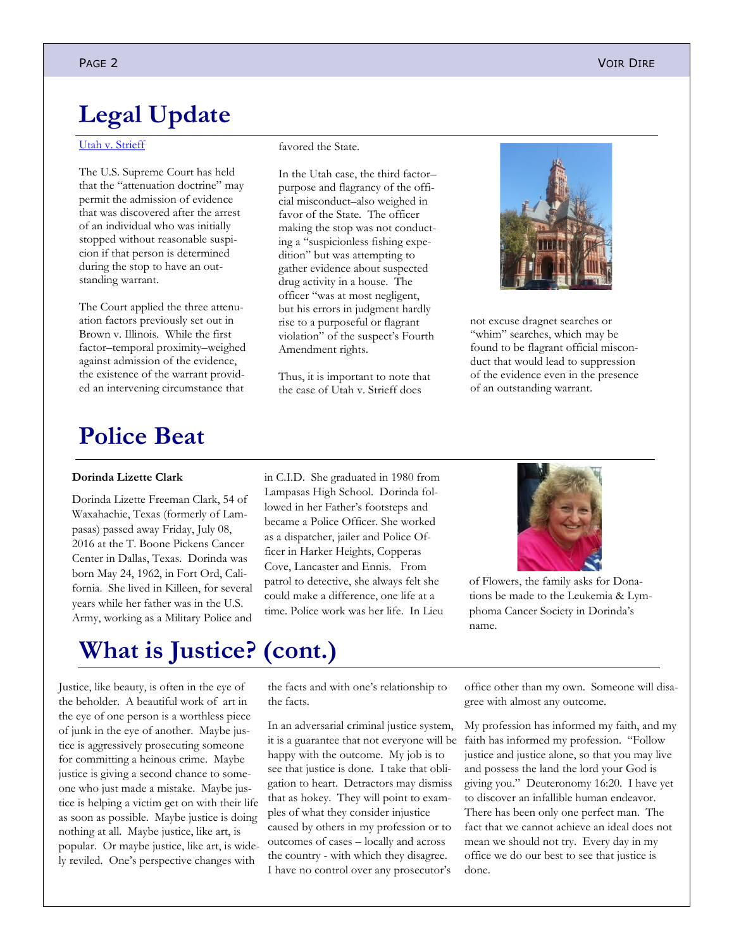## <span id="page-1-0"></span>**Legal Update**

#### [Utah v. Strieff](http://www.supremecourt.gov/opinions/15pdf/14-1373_83i7.pdf)

The U.S. Supreme Court has held that the "attenuation doctrine" may permit the admission of evidence that was discovered after the arrest of an individual who was initially stopped without reasonable suspicion if that person is determined during the stop to have an outstanding warrant.

The Court applied the three attenuation factors previously set out in Brown v. Illinois. While the first factor–temporal proximity–weighed against admission of the evidence, the existence of the warrant provided an intervening circumstance that

#### favored the State.

In the Utah case, the third factor– purpose and flagrancy of the official misconduct–also weighed in favor of the State. The officer making the stop was not conducting a "suspicionless fishing expedition" but was attempting to gather evidence about suspected drug activity in a house. The officer "was at most negligent, but his errors in judgment hardly rise to a purposeful or flagrant violation" of the suspect's Fourth Amendment rights.

Thus, it is important to note that the case of Utah v. Strieff does



not excuse dragnet searches or "whim" searches, which may be found to be flagrant official misconduct that would lead to suppression of the evidence even in the presence of an outstanding warrant.

### **Police Beat**

#### **Dorinda Lizette Clark**

Dorinda Lizette Freeman Clark, 54 of Waxahachie, Texas (formerly of Lampasas) passed away Friday, July 08, 2016 at the T. Boone Pickens Cancer Center in Dallas, Texas. Dorinda was born May 24, 1962, in Fort Ord, California. She lived in Killeen, for several years while her father was in the U.S. Army, working as a Military Police and

in C.I.D. She graduated in 1980 from Lampasas High School. Dorinda followed in her Father's footsteps and became a Police Officer. She worked as a dispatcher, jailer and Police Officer in Harker Heights, Copperas Cove, Lancaster and Ennis. From patrol to detective, she always felt she could make a difference, one life at a time. Police work was her life. In Lieu



of Flowers, the family asks for Donations be made to the Leukemia & Lymphoma Cancer Society in Dorinda's name.

### **What is Justice? (cont.)**

Justice, like beauty, is often in the eye of the beholder. A beautiful work of art in the eye of one person is a worthless piece of junk in the eye of another. Maybe justice is aggressively prosecuting someone for committing a heinous crime. Maybe justice is giving a second chance to someone who just made a mistake. Maybe justice is helping a victim get on with their life as soon as possible. Maybe justice is doing nothing at all. Maybe justice, like art, is popular. Or maybe justice, like art, is widely reviled. One's perspective changes with

the facts and with one's relationship to the facts.

In an adversarial criminal justice system, it is a guarantee that not everyone will be happy with the outcome. My job is to see that justice is done. I take that obligation to heart. Detractors may dismiss that as hokey. They will point to examples of what they consider injustice caused by others in my profession or to outcomes of cases – locally and across the country - with which they disagree. I have no control over any prosecutor's

office other than my own. Someone will disagree with almost any outcome.

My profession has informed my faith, and my faith has informed my profession. "Follow justice and justice alone, so that you may live and possess the land the lord your God is giving you." Deuteronomy 16:20. I have yet to discover an infallible human endeavor. There has been only one perfect man. The fact that we cannot achieve an ideal does not mean we should not try. Every day in my office we do our best to see that justice is done.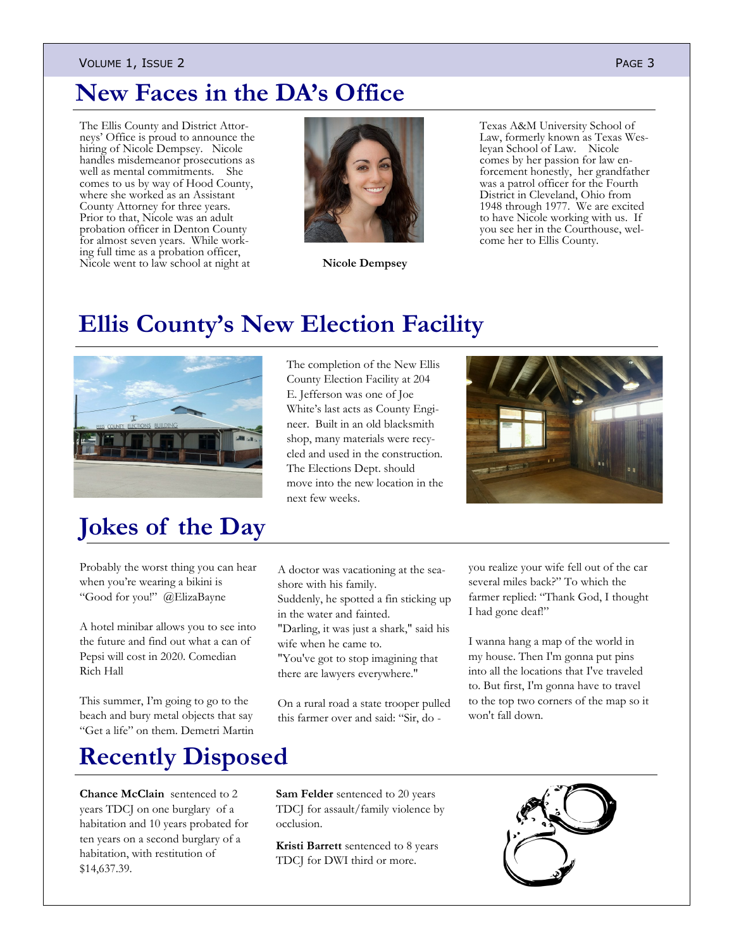#### VOLUME 1, ISSUE 2 PAGE 3

### **New Faces in the DA's Office**

The Ellis County and District Attorneys' Office is proud to announce the hiring of Nicole Dempsey. Nicole handles misdemeanor prosecutions as well as mental commitments. She comes to us by way of Hood County, where she worked as an Assistant County Attorney for three years. Prior to that, Nicole was an adult probation officer in Denton County for almost seven years. While working full time as a probation officer, Nicole went to law school at night at



**Nicole Dempsey**

Texas A&M University School of Law, formerly known as Texas Wesleyan School of Law. Nicole comes by her passion for law enforcement honestly, her grandfather was a patrol officer for the Fourth District in Cleveland, Ohio from 1948 through 1977. We are excited to have Nicole working with us. If you see her in the Courthouse, welcome her to Ellis County.

### **Ellis County's New Election Facility**



## **Jokes of the Day**

Probably the worst thing you can hear when you're wearing a bikini is "Good for you!" @ElizaBayne

A hotel minibar allows you to see into the future and find out what a can of Pepsi will cost in 2020. Comedian Rich Hall

This summer, I'm going to go to the beach and bury metal objects that say "Get a life" on them. Demetri Martin

## **Recently Disposed**

**Chance McClain** sentenced to 2 years TDCJ on one burglary of a habitation and 10 years probated for ten years on a second burglary of a habitation, with restitution of \$14,637.39.

The completion of the New Ellis County Election Facility at 204 E. Jefferson was one of Joe White's last acts as County Engineer. Built in an old blacksmith shop, many materials were recycled and used in the construction. The Elections Dept. should move into the new location in the next few weeks.



A doctor was vacationing at the seashore with his family.

Suddenly, he spotted a fin sticking up in the water and fainted.

"Darling, it was just a shark," said his wife when he came to.

"You've got to stop imagining that there are lawyers everywhere."

On a rural road a state trooper pulled this farmer over and said: "Sir, do -

you realize your wife fell out of the car several miles back?" To which the farmer replied: "Thank God, I thought I had gone deaf!"

I wanna hang a map of the world in my house. Then I'm gonna put pins into all the locations that I've traveled to. But first, I'm gonna have to travel to the top two corners of the map so it won't fall down.

**Sam Felder** sentenced to 20 years TDCJ for assault/family violence by occlusion.

**Kristi Barrett** sentenced to 8 years TDCJ for DWI third or more.